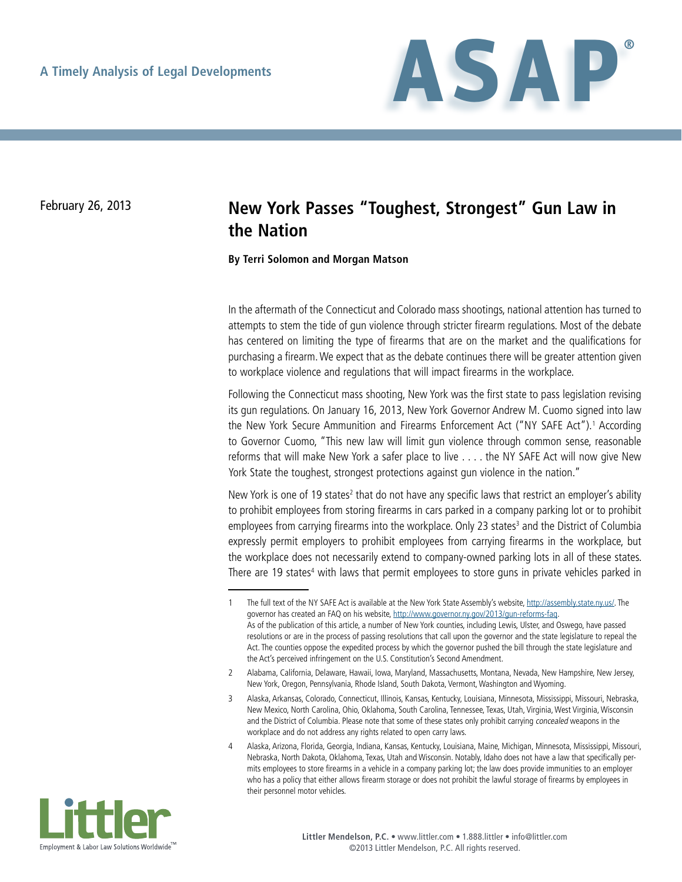

# February 26, 2013 **New York Passes "Toughest, Strongest" Gun Law in the Nation**

**By Terri Solomon and Morgan Matson**

In the aftermath of the Connecticut and Colorado mass shootings, national attention has turned to attempts to stem the tide of gun violence through stricter firearm regulations. Most of the debate has centered on limiting the type of firearms that are on the market and the qualifications for purchasing a firearm. We expect that as the debate continues there will be greater attention given to workplace violence and regulations that will impact firearms in the workplace.

Following the Connecticut mass shooting, New York was the first state to pass legislation revising its gun regulations. On January 16, 2013, New York Governor Andrew M. Cuomo signed into law the New York Secure Ammunition and Firearms Enforcement Act ("NY SAFE Act").<sup>1</sup> According to Governor Cuomo, "This new law will limit gun violence through common sense, reasonable reforms that will make New York a safer place to live . . . . the NY SAFE Act will now give New York State the toughest, strongest protections against gun violence in the nation."

New York is one of 19 states<sup>2</sup> that do not have any specific laws that restrict an employer's ability to prohibit employees from storing firearms in cars parked in a company parking lot or to prohibit employees from carrying firearms into the workplace. Only 23 states<sup>3</sup> and the District of Columbia expressly permit employers to prohibit employees from carrying firearms in the workplace, but the workplace does not necessarily extend to company-owned parking lots in all of these states. There are 19 states<sup>4</sup> with laws that permit employees to store guns in private vehicles parked in

<sup>4</sup> Alaska, Arizona, Florida, Georgia, Indiana, Kansas, Kentucky, Louisiana, Maine, Michigan, Minnesota, Mississippi, Missouri, Nebraska, North Dakota, Oklahoma, Texas, Utah and Wisconsin. Notably, Idaho does not have a law that specifically permits employees to store firearms in a vehicle in a company parking lot; the law does provide immunities to an employer who has a policy that either allows firearm storage or does not prohibit the lawful storage of firearms by employees in their personnel motor vehicles.



<sup>1</sup> The full text of the NY SAFE Act is available at the New York State Assembly's website, [http://assembly.state.ny.us/.](http://assembly.state.ny.us/) The governor has created an FAQ on his website, [http://www.governor.ny.gov/2013/gun-reforms-faq.](http://www.governor.ny.gov/2013/gun-reforms-faq) As of the publication of this article, a number of New York counties, including Lewis, Ulster, and Oswego, have passed resolutions or are in the process of passing resolutions that call upon the governor and the state legislature to repeal the Act. The counties oppose the expedited process by which the governor pushed the bill through the state legislature and the Act's perceived infringement on the U.S. Constitution's Second Amendment.

<sup>2</sup> Alabama, California, Delaware, Hawaii, Iowa, Maryland, Massachusetts, Montana, Nevada, New Hampshire, New Jersey, New York, Oregon, Pennsylvania, Rhode Island, South Dakota, Vermont, Washington and Wyoming.

<sup>3</sup> Alaska, Arkansas, Colorado, Connecticut, Illinois, Kansas, Kentucky, Louisiana, Minnesota, Mississippi, Missouri, Nebraska, New Mexico, North Carolina, Ohio, Oklahoma, South Carolina, Tennessee, Texas, Utah, Virginia, West Virginia, Wisconsin and the District of Columbia. Please note that some of these states only prohibit carrying concealed weapons in the workplace and do not address any rights related to open carry laws.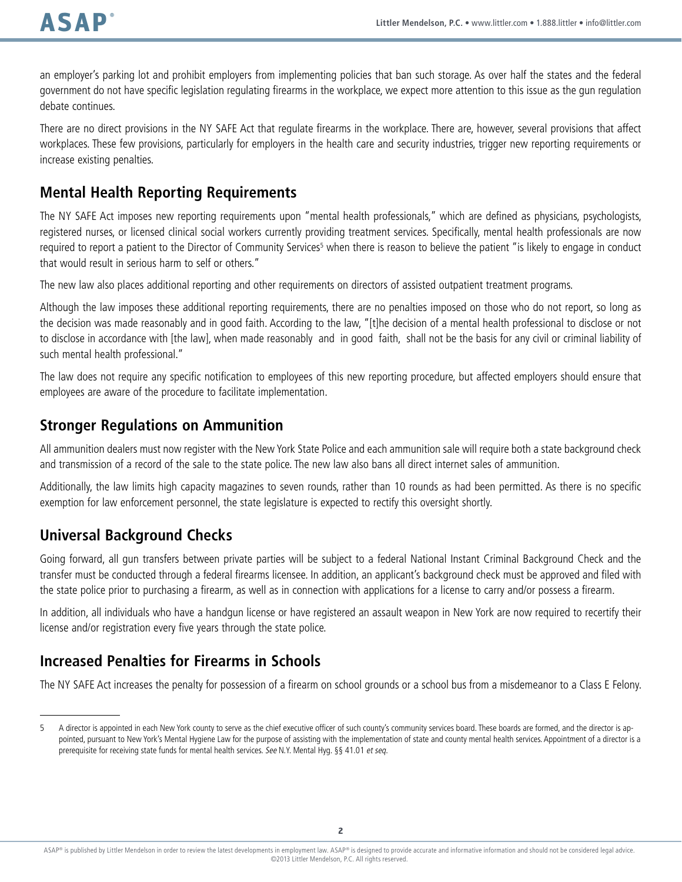an employer's parking lot and prohibit employers from implementing policies that ban such storage. As over half the states and the federal government do not have specific legislation regulating firearms in the workplace, we expect more attention to this issue as the gun regulation debate continues.

There are no direct provisions in the NY SAFE Act that regulate firearms in the workplace. There are, however, several provisions that affect workplaces. These few provisions, particularly for employers in the health care and security industries, trigger new reporting requirements or increase existing penalties.

# **Mental Health Reporting Requirements**

The NY SAFE Act imposes new reporting requirements upon "mental health professionals," which are defined as physicians, psychologists, registered nurses, or licensed clinical social workers currently providing treatment services. Specifically, mental health professionals are now required to report a patient to the Director of Community Services<sup>5</sup> when there is reason to believe the patient "is likely to engage in conduct that would result in serious harm to self or others."

The new law also places additional reporting and other requirements on directors of assisted outpatient treatment programs.

Although the law imposes these additional reporting requirements, there are no penalties imposed on those who do not report, so long as the decision was made reasonably and in good faith. According to the law, "[t]he decision of a mental health professional to disclose or not to disclose in accordance with [the law], when made reasonably and in good faith, shall not be the basis for any civil or criminal liability of such mental health professional."

The law does not require any specific notification to employees of this new reporting procedure, but affected employers should ensure that employees are aware of the procedure to facilitate implementation.

### **Stronger Regulations on Ammunition**

All ammunition dealers must now register with the New York State Police and each ammunition sale will require both a state background check and transmission of a record of the sale to the state police. The new law also bans all direct internet sales of ammunition.

Additionally, the law limits high capacity magazines to seven rounds, rather than 10 rounds as had been permitted. As there is no specific exemption for law enforcement personnel, the state legislature is expected to rectify this oversight shortly.

# **Universal Background Checks**

Going forward, all gun transfers between private parties will be subject to a federal National Instant Criminal Background Check and the transfer must be conducted through a federal firearms licensee. In addition, an applicant's background check must be approved and filed with the state police prior to purchasing a firearm, as well as in connection with applications for a license to carry and/or possess a firearm.

In addition, all individuals who have a handgun license or have registered an assault weapon in New York are now required to recertify their license and/or registration every five years through the state police.

# **Increased Penalties for Firearms in Schools**

The NY SAFE Act increases the penalty for possession of a firearm on school grounds or a school bus from a misdemeanor to a Class E Felony.

<sup>5</sup> A director is appointed in each New York county to serve as the chief executive officer of such county's community services board. These boards are formed, and the director is appointed, pursuant to New York's Mental Hygiene Law for the purpose of assisting with the implementation of state and county mental health services. Appointment of a director is a prerequisite for receiving state funds for mental health services. See N.Y. Mental Hyg. §§ 41.01 et seg.